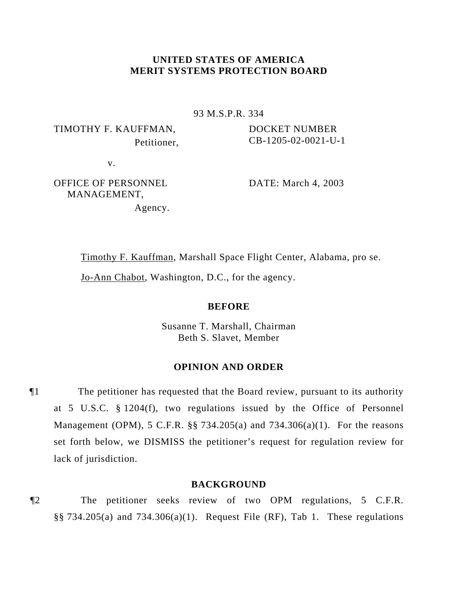# **UNITED STATES OF AMERICA MERIT SYSTEMS PROTECTION BOARD**

93 M.S.P.R. 334

TIMOTHY F. KAUFFMAN, Petitioner, DOCKET NUMBER CB-1205-02-0021-U-1

v.

OFFICE OF PERSONNEL MANAGEMENT, Agency. DATE: March 4, 2003

Timothy F. Kauffman, Marshall Space Flight Center, Alabama, pro se.

Jo-Ann Chabot, Washington, D.C., for the agency.

### **BEFORE**

Susanne T. Marshall, Chairman Beth S. Slavet, Member

# **OPINION AND ORDER**

¶1 The petitioner has requested that the Board review, pursuant to its authority at 5 U.S.C. § 1204(f), two regulations issued by the Office of Personnel Management (OPM), 5 C.F.R. §§ 734.205(a) and 734.306(a)(1). For the reasons set forth below, we DISMISS the petitioner's request for regulation review for lack of jurisdiction.

### **BACKGROUND**

¶2 The petitioner seeks review of two OPM regulations, 5 C.F.R.  $\S$ § 734.205(a) and 734.306(a)(1). Request File (RF), Tab 1. These regulations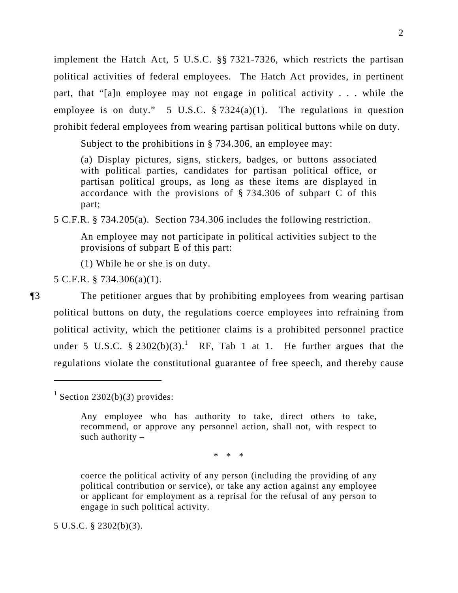implement the Hatch Act, 5 U.S.C. §§ 7321-7326, which restricts the partisan political activities of federal employees. The Hatch Act provides, in pertinent part, that "[a]n employee may not engage in political activity . . . while the employee is on duty." 5 U.S.C.  $\S 7324(a)(1)$ . The regulations in question prohibit federal employees from wearing partisan political buttons while on duty.

Subject to the prohibitions in § 734.306, an employee may:

(a) Display pictures, signs, stickers, badges, or buttons associated with political parties, candidates for partisan political office, or partisan political groups, as long as these items are displayed in accordance with the provisions of § 734.306 of subpart C of this part;

5 C.F.R. § 734.205(a). Section 734.306 includes the following restriction.

An employee may not participate in political activities subject to the provisions of subpart E of this part:

(1) While he or she is on duty.

5 C.F.R. § 734.306(a)(1).

 $\overline{a}$ 

¶3 The petitioner argues that by prohibiting employees from wearing partisan political buttons on duty, the regulations coerce employees into refraining from political activity, which the petitioner claims is a prohibited personnel practice under 5 U.S.C.  $\S 2302(b)(3)$ .<sup>1</sup> RF, Tab 1 at 1. He further argues that the regulations violate the constitutional guarantee of free speech, and thereby cause

\* \* \*

coerce the political activity of any person (including the providing of any political contribution or service), or take any action against any employee or applicant for employment as a reprisal for the refusal of any person to engage in such political activity.

5 U.S.C. § 2302(b)(3).

 $1$  Section 2302(b)(3) provides:

Any employee who has authority to take, direct others to take, recommend, or approve any personnel action, shall not, with respect to such authority  $-$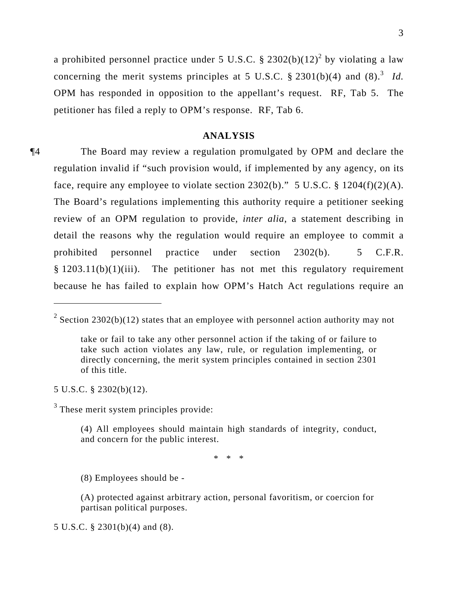a prohibited personnel practice under 5 U.S.C.  $\S 2302(b)(12)^2$  by violating a law concerning the merit systems principles at 5 U.S.C.  $\S 2301(b)(4)$  and  $(8).$ <sup>3</sup> *Id.* OPM has responded in opposition to the appellant's request. RF, Tab 5. The petitioner has filed a reply to OPM's response. RF, Tab 6.

### **ANALYSIS**

¶4 The Board may review a regulation promulgated by OPM and declare the regulation invalid if "such provision would, if implemented by any agency, on its face, require any employee to violate section  $2302(b)$ ." 5 U.S.C. § 1204(f)(2)(A). The Board's regulations implementing this authority require a petitioner seeking review of an OPM regulation to provide, *inter alia*, a statement describing in detail the reasons why the regulation would require an employee to commit a prohibited personnel practice under section 2302(b). 5 C.F.R.  $§$  1203.11(b)(1)(iii). The petitioner has not met this regulatory requirement because he has failed to explain how OPM's Hatch Act regulations require an

5 U.S.C. § 2302(b)(12).

 $\overline{a}$ 

 $3$  These merit system principles provide:

(4) All employees should maintain high standards of integrity, conduct, and concern for the public interest.

\* \* \*

(8) Employees should be -

(A) protected against arbitrary action, personal favoritism, or coercion for partisan political purposes.

5 U.S.C. § 2301(b)(4) and (8).

<sup>&</sup>lt;sup>2</sup> Section 2302(b)(12) states that an employee with personnel action authority may not

take or fail to take any other personnel action if the taking of or failure to take such action violates any law, rule, or regulation implementing, or directly concerning, the merit system principles contained in section 2301 of this title.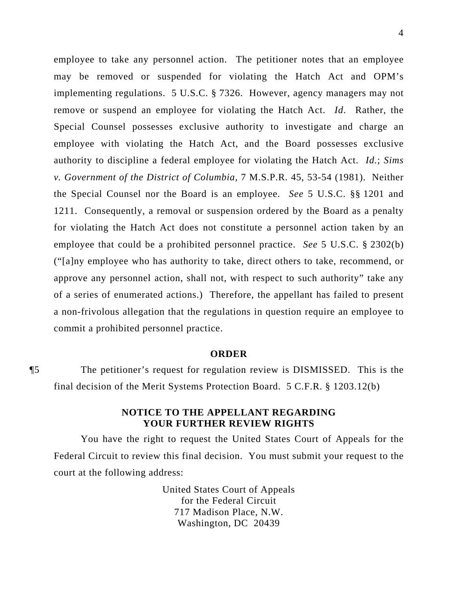employee to take any personnel action. The petitioner notes that an employee may be removed or suspended for violating the Hatch Act and OPM's implementing regulations. 5 U.S.C. § 7326. However, agency managers may not remove or suspend an employee for violating the Hatch Act. *Id*. Rather, the Special Counsel possesses exclusive authority to investigate and charge an employee with violating the Hatch Act, and the Board possesses exclusive authority to discipline a federal employee for violating the Hatch Act. *Id.*; *Sims v. Government of the District of Columbia*, 7 M.S.P.R. 45, 53-54 (1981). Neither the Special Counsel nor the Board is an employee. *See* 5 U.S.C. §§ 1201 and 1211. Consequently, a removal or suspension ordered by the Board as a penalty for violating the Hatch Act does not constitute a personnel action taken by an employee that could be a prohibited personnel practice. *See* 5 U.S.C. § 2302(b) ("[a]ny employee who has authority to take, direct others to take, recommend, or approve any personnel action, shall not, with respect to such authority" take any of a series of enumerated actions.) Therefore, the appellant has failed to present a non-frivolous allegation that the regulations in question require an employee to commit a prohibited personnel practice.

### **ORDER**

¶5 The petitioner's request for regulation review is DISMISSED. This is the final decision of the Merit Systems Protection Board. 5 C.F.R. § 1203.12(b)

# **NOTICE TO THE APPELLANT REGARDING YOUR FURTHER REVIEW RIGHTS**

You have the right to request the United States Court of Appeals for the Federal Circuit to review this final decision. You must submit your request to the court at the following address:

> United States Court of Appeals for the Federal Circuit 717 Madison Place, N.W. Washington, DC 20439